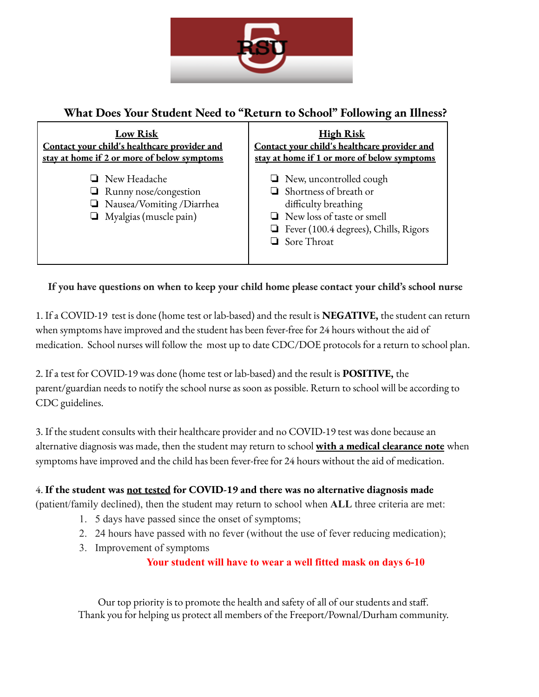

# **What Does Your Student Need to "Return to School" Following an Illness?**



## **If you have questions on when to keep your child home please contact your child's school nurse**

1. If a COVID-19 test is done (home test or lab-based) and the result is **NEGATIVE,** the student can return when symptoms have improved and the student has been fever-free for 24 hours without the aid of medication. School nurses will follow the most up to date CDC/DOE protocols for a return to school plan.

2. If a test for COVID-19 was done (home test or lab-based) and the result is **POSITIVE,** the parent/guardian needs to notify the school nurse as soon as possible. Return to school will be according to CDC guidelines.

3. If the student consults with their healthcare provider and no COVID-19 test was done because an alternative diagnosis was made, then the student may return to school **with a medical clearance note** when symptoms have improved and the child has been fever-free for 24 hours without the aid of medication.

### 4. **If the student was not tested for COVID-19 and there was no alternative diagnosis made**

(patient/family declined), then the student may return to school when **ALL** three criteria are met:

- 1. 5 days have passed since the onset of symptoms;
- 2. 24 hours have passed with no fever (without the use of fever reducing medication);
- 3. Improvement of symptoms

### **Your student will have to wear a well fitted mask on days 6-10**

Our top priority is to promote the health and safety of all of our students and staff. Thank you for helping us protect all members of the Freeport/Pownal/Durham community.